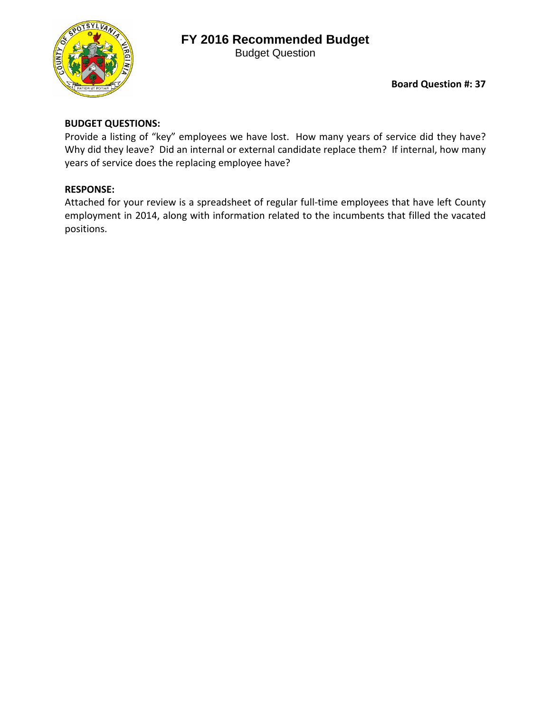## **FY 2016 Recommended Budget**

Budget Question



**Board Question #: 37**

## **BUDGET QUESTIONS:**

Provide a listing of "key" employees we have lost. How many years of service did they have? Why did they leave? Did an internal or external candidate replace them? If internal, how many years of service does the replacing employee have?

## **RESPONSE:**

Attached for your review is a spreadsheet of regular full-time employees that have left County employment in 2014, along with information related to the incumbents that filled the vacated positions.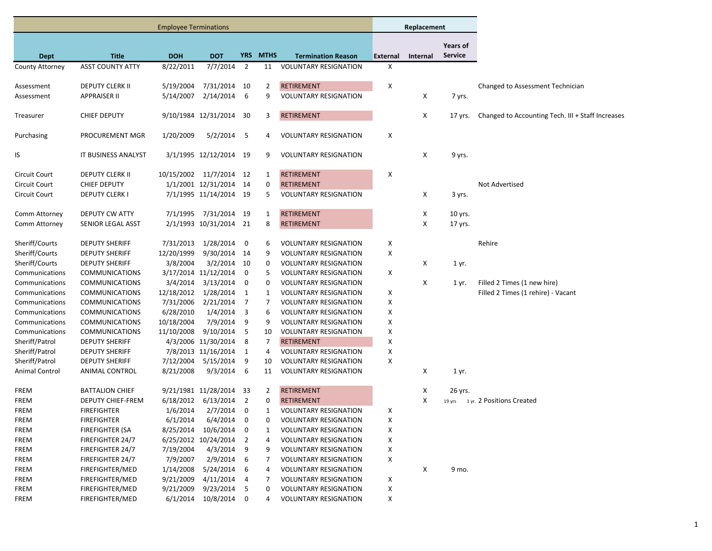|                                |                         | <b>Employee Terminations</b> |                         |                          |                |                              |          | Replacement     |                |                                                   |
|--------------------------------|-------------------------|------------------------------|-------------------------|--------------------------|----------------|------------------------------|----------|-----------------|----------------|---------------------------------------------------|
|                                |                         |                              |                         |                          |                |                              |          |                 | Years of       |                                                   |
| <b>Dept</b>                    | <b>Title</b>            | <b>DOH</b>                   | <b>DOT</b>              |                          | YRS MTHS       | <b>Termination Reason</b>    | External | <b>Internal</b> | <b>Service</b> |                                                   |
| County Attorney                | <b>ASST COUNTY ATTY</b> | 8/22/2011                    | $7/7/2014$ 2            |                          | 11             | <b>VOLUNTARY RESIGNATION</b> | Х        |                 |                |                                                   |
| Assessment                     | DEPUTY CLERK II         | 5/19/2004                    | 7/31/2014 10            |                          | $\overline{2}$ | <b>RETIREMENT</b>            | X        |                 |                | Changed to Assessment Technician                  |
| Assessment                     | <b>APPRAISER II</b>     | 5/14/2007                    | 2/14/2014               | - 6                      | 9              | <b>VOLUNTARY RESIGNATION</b> |          | Х               | 7 yrs.         |                                                   |
|                                |                         |                              |                         |                          |                |                              |          |                 |                |                                                   |
| Treasurer                      | <b>CHIEF DEPUTY</b>     |                              | 9/10/1984 12/31/2014 30 |                          | 3              | <b>RETIREMENT</b>            |          | X               | 17 yrs.        | Changed to Accounting Tech. III + Staff Increases |
| Purchasing                     | PROCUREMENT MGR         | 1/20/2009                    | $5/2/2014$ 5            |                          | 4              | <b>VOLUNTARY RESIGNATION</b> | X        |                 |                |                                                   |
|                                |                         |                              |                         |                          |                |                              |          |                 |                |                                                   |
| IS                             | IT BUSINESS ANALYST     |                              | 3/1/1995 12/12/2014 19  |                          | 9              | <b>VOLUNTARY RESIGNATION</b> |          | Х               | 9 yrs.         |                                                   |
| Circuit Court                  | DEPUTY CLERK II         |                              | 10/15/2002 11/7/2014 12 |                          | 1              | <b>RETIREMENT</b>            | X        |                 |                |                                                   |
| Circuit Court                  | <b>CHIEF DEPUTY</b>     |                              | 1/1/2001 12/31/2014 14  |                          | 0              | <b>RETIREMENT</b>            |          |                 |                | Not Advertised                                    |
| Circuit Court                  | DEPUTY CLERK I          |                              | 7/1/1995 11/14/2014 19  |                          | 5              | <b>VOLUNTARY RESIGNATION</b> |          | Х               | 3 yrs.         |                                                   |
|                                | DEPUTY CW ATTY          | 7/1/1995                     | 7/31/2014 19            |                          | 1              | <b>RETIREMENT</b>            |          |                 |                |                                                   |
| Comm Attorney<br>Comm Attorney | SENIOR LEGAL ASST       |                              | 2/1/1993 10/31/2014 21  |                          | 8              | <b>RETIREMENT</b>            |          | X<br>X          | 10 yrs.        |                                                   |
|                                |                         |                              |                         |                          |                |                              |          |                 | 17 yrs.        |                                                   |
| Sheriff/Courts                 | <b>DEPUTY SHERIFF</b>   | 7/31/2013                    | 1/28/2014               | $\overline{\mathbf{0}}$  | 6              | <b>VOLUNTARY RESIGNATION</b> | х        |                 |                | Rehire                                            |
| Sheriff/Courts                 | <b>DEPUTY SHERIFF</b>   | 12/20/1999                   | 9/30/2014 14            |                          | 9              | <b>VOLUNTARY RESIGNATION</b> | х        |                 |                |                                                   |
| Sheriff/Courts                 | <b>DEPUTY SHERIFF</b>   | 3/8/2004                     | $3/2/2014$ 10           |                          | 0              | <b>VOLUNTARY RESIGNATION</b> |          | х               | 1 yr.          |                                                   |
| Communications                 | <b>COMMUNICATIONS</b>   |                              | 3/17/2014 11/12/2014    | $\overline{\phantom{0}}$ | 5              | <b>VOLUNTARY RESIGNATION</b> | X        |                 |                |                                                   |
| Communications                 | <b>COMMUNICATIONS</b>   | 3/4/2014                     | 3/13/2014               | $\overline{\phantom{0}}$ | 0              | <b>VOLUNTARY RESIGNATION</b> |          | Х               | 1 yr.          | Filled 2 Times (1 new hire)                       |
| Communications                 | <b>COMMUNICATIONS</b>   |                              | 12/18/2012 1/28/2014    | $\overline{1}$           | 1              | <b>VOLUNTARY RESIGNATION</b> | х        |                 |                | Filled 2 Times (1 rehire) - Vacant                |
| Communications                 | <b>COMMUNICATIONS</b>   | 7/31/2006                    | 2/21/2014               | $\overline{7}$           | 7              | <b>VOLUNTARY RESIGNATION</b> | х        |                 |                |                                                   |
| Communications                 | <b>COMMUNICATIONS</b>   | 6/28/2010                    | 1/4/2014                | $\overline{\mathbf{3}}$  | 6              | <b>VOLUNTARY RESIGNATION</b> | х        |                 |                |                                                   |
| Communications                 | <b>COMMUNICATIONS</b>   | 10/18/2004                   | 7/9/2014                | 9                        | 9              | <b>VOLUNTARY RESIGNATION</b> | X        |                 |                |                                                   |
| Communications                 | <b>COMMUNICATIONS</b>   | 11/10/2008                   | 9/10/2014 5             |                          | 10             | <b>VOLUNTARY RESIGNATION</b> | х        |                 |                |                                                   |
| Sheriff/Patrol                 | <b>DEPUTY SHERIFF</b>   |                              | 4/3/2006 11/30/2014     | - 8                      | 7              | <b>RETIREMENT</b>            | X        |                 |                |                                                   |
| Sheriff/Patrol                 | <b>DEPUTY SHERIFF</b>   |                              | 7/8/2013 11/16/2014     | $\overline{1}$           | 4              | <b>VOLUNTARY RESIGNATION</b> | X        |                 |                |                                                   |
| Sheriff/Patrol                 | <b>DEPUTY SHERIFF</b>   | 7/12/2004                    | 5/15/2014               | - 9                      | 10             | <b>VOLUNTARY RESIGNATION</b> | X        |                 |                |                                                   |
| Animal Control                 | ANIMAL CONTROL          | 8/21/2008                    | 9/3/2014                | - 6                      | 11             | <b>VOLUNTARY RESIGNATION</b> |          | Х               | 1 yr.          |                                                   |
| <b>FREM</b>                    | <b>BATTALION CHIEF</b>  |                              | 9/21/1981 11/28/2014 33 |                          | 2              | <b>RETIREMENT</b>            |          | Х               | 26 yrs.        |                                                   |
| <b>FREM</b>                    | DEPUTY CHIEF-FREM       | 6/18/2012                    | $6/13/2014$ 2           |                          | 0              | <b>RETIREMENT</b>            |          | Х               |                | 19 yrs 1 yr. 2 Positions Created                  |
| <b>FREM</b>                    | <b>FIREFIGHTER</b>      | 1/6/2014                     | $2/7/2014$ 0            |                          | 1              | <b>VOLUNTARY RESIGNATION</b> | х        |                 |                |                                                   |
| FREM                           | <b>FIREFIGHTER</b>      |                              | 6/1/2014 6/4/2014 0     |                          | 0              | <b>VOLUNTARY RESIGNATION</b> | x        |                 |                |                                                   |
| FREM                           | <b>FIREFIGHTER (SA</b>  |                              | 8/25/2014 10/6/2014 0   |                          | 1              | <b>VOLUNTARY RESIGNATION</b> | х        |                 |                |                                                   |
| FREM                           | FIREFIGHTER 24/7        |                              | 6/25/2012 10/24/2014 2  |                          | 4              | <b>VOLUNTARY RESIGNATION</b> | х        |                 |                |                                                   |
| FREM                           | FIREFIGHTER 24/7        | 7/19/2004                    | 4/3/2014                | - 9                      | 9              | <b>VOLUNTARY RESIGNATION</b> | X        |                 |                |                                                   |
| FREM                           | FIREFIGHTER 24/7        | 7/9/2007                     | 2/9/2014                | - 6                      | 7              | <b>VOLUNTARY RESIGNATION</b> | X        |                 |                |                                                   |
| FREM                           | FIREFIGHTER/MED         | 1/14/2008                    | 5/24/2014               | - 6                      | 4              | <b>VOLUNTARY RESIGNATION</b> |          | Х               | 9 mo.          |                                                   |
| FREM                           | <b>FIREFIGHTER/MED</b>  | 9/21/2009                    | 4/11/2014               | $\overline{4}$           | 7              | <b>VOLUNTARY RESIGNATION</b> | X        |                 |                |                                                   |
| FREM                           | FIREFIGHTER/MED         | 9/21/2009                    | 9/23/2014 5             |                          | 0              | <b>VOLUNTARY RESIGNATION</b> | X        |                 |                |                                                   |
| FREM                           | FIREFIGHTER/MED         | 6/1/2014                     | 10/8/2014 0             |                          | 4              | <b>VOLUNTARY RESIGNATION</b> | X        |                 |                |                                                   |